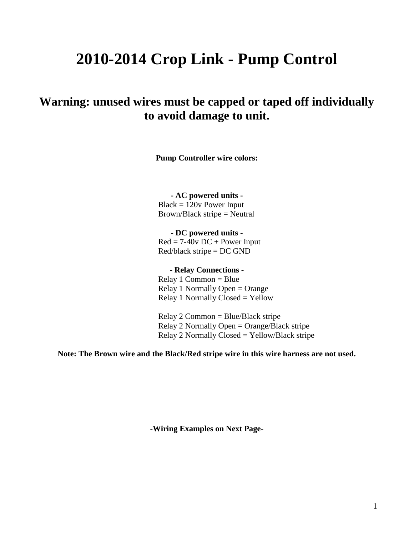# **2010-2014 Crop Link - Pump Control**

# **Warning: unused wires must be capped or taped off individually to avoid damage to unit.**

**Pump Controller wire colors:** 

**- AC powered units -**

Black = 120v Power Input Brown/Black stripe = Neutral

**- DC powered units -**  $Red = 7-40v DC + Power Input$ Red/black stripe = DC GND

**- Relay Connections -**

Relay 1 Common = Blue Relay 1 Normally Open = Orange Relay 1 Normally Closed = Yellow

Relay 2 Common = Blue/Black stripe Relay 2 Normally Open = Orange/Black stripe Relay 2 Normally Closed = Yellow/Black stripe

**Note: The Brown wire and the Black/Red stripe wire in this wire harness are not used.**

**-Wiring Examples on Next Page-**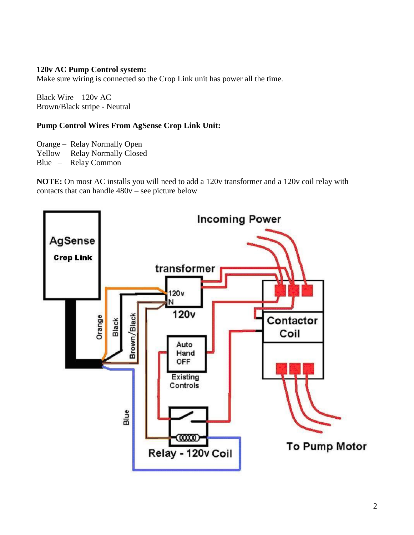#### **120v AC Pump Control system:**

Make sure wiring is connected so the Crop Link unit has power all the time.

Black Wire – 120v AC Brown/Black stripe - Neutral

### **Pump Control Wires From AgSense Crop Link Unit:**

Orange – Relay Normally Open

Yellow – Relay Normally Closed

Blue – Relay Common

**NOTE:** On most AC installs you will need to add a 120v transformer and a 120v coil relay with contacts that can handle 480v – see picture below

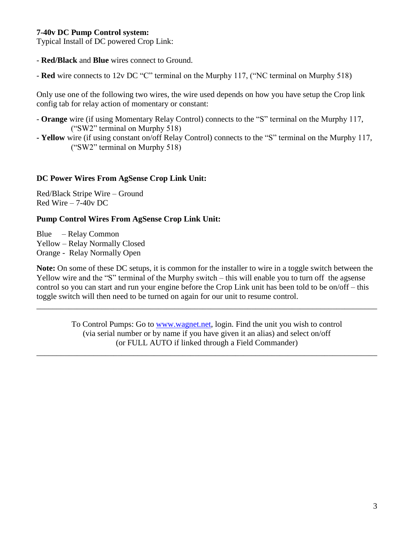#### **7-40v DC Pump Control system:**

Typical Install of DC powered Crop Link:

- **Red/Black** and **Blue** wires connect to Ground.

- **Red** wire connects to 12v DC "C" terminal on the Murphy 117, ("NC terminal on Murphy 518)

Only use one of the following two wires, the wire used depends on how you have setup the Crop link config tab for relay action of momentary or constant:

- **Orange** wire (if using Momentary Relay Control) connects to the "S" terminal on the Murphy 117, ("SW2" terminal on Murphy 518)
- **- Yellow** wire (if using constant on/off Relay Control) connects to the "S" terminal on the Murphy 117, ("SW2" terminal on Murphy 518)

## **DC Power Wires From AgSense Crop Link Unit:**

Red/Black Stripe Wire – Ground Red Wire – 7-40v DC

## **Pump Control Wires From AgSense Crop Link Unit:**

Blue – Relay Common Yellow – Relay Normally Closed Orange - Relay Normally Open

**Note:** On some of these DC setups, it is common for the installer to wire in a toggle switch between the Yellow wire and the "S" terminal of the Murphy switch – this will enable you to turn off the agsense control so you can start and run your engine before the Crop Link unit has been told to be on/off – this toggle switch will then need to be turned on again for our unit to resume control.

> To Control Pumps: Go to [www.wagnet.net,](http://prod.wagnet.net/) login. Find the unit you wish to control (via serial number or by name if you have given it an alias) and select on/off (or FULL AUTO if linked through a Field Commander)

\_\_\_\_\_\_\_\_\_\_\_\_\_\_\_\_\_\_\_\_\_\_\_\_\_\_\_\_\_\_\_\_\_\_\_\_\_\_\_\_\_\_\_\_\_\_\_\_\_\_\_\_\_\_\_\_\_\_\_\_\_\_\_\_\_\_\_\_\_\_\_\_\_\_\_\_\_\_\_\_\_\_\_\_

\_\_\_\_\_\_\_\_\_\_\_\_\_\_\_\_\_\_\_\_\_\_\_\_\_\_\_\_\_\_\_\_\_\_\_\_\_\_\_\_\_\_\_\_\_\_\_\_\_\_\_\_\_\_\_\_\_\_\_\_\_\_\_\_\_\_\_\_\_\_\_\_\_\_\_\_\_\_\_\_\_\_\_\_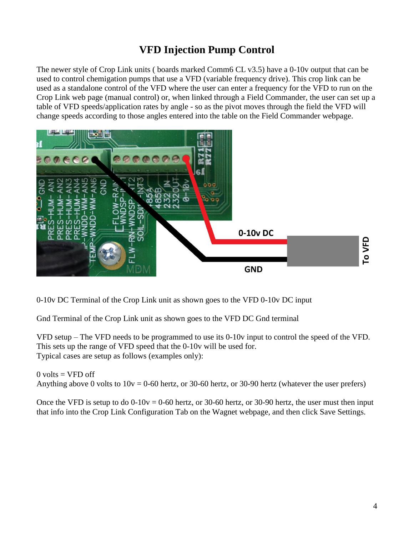# **VFD Injection Pump Control**

The newer style of Crop Link units ( boards marked Comm6 CL v3.5) have a 0-10v output that can be used to control chemigation pumps that use a VFD (variable frequency drive). This crop link can be used as a standalone control of the VFD where the user can enter a frequency for the VFD to run on the Crop Link web page (manual control) or, when linked through a Field Commander, the user can set up a table of VFD speeds/application rates by angle - so as the pivot moves through the field the VFD will change speeds according to those angles entered into the table on the Field Commander webpage.



0-10v DC Terminal of the Crop Link unit as shown goes to the VFD 0-10v DC input

Gnd Terminal of the Crop Link unit as shown goes to the VFD DC Gnd terminal

VFD setup – The VFD needs to be programmed to use its 0-10v input to control the speed of the VFD. This sets up the range of VFD speed that the 0-10v will be used for. Typical cases are setup as follows (examples only):

 $0$  volts = VFD off Anything above 0 volts to  $10v = 0.60$  hertz, or 30-60 hertz, or 30-90 hertz (whatever the user prefers)

Once the VFD is setup to do  $0-10v = 0-60$  hertz, or 30-60 hertz, or 30-90 hertz, the user must then input that info into the Crop Link Configuration Tab on the Wagnet webpage, and then click Save Settings.